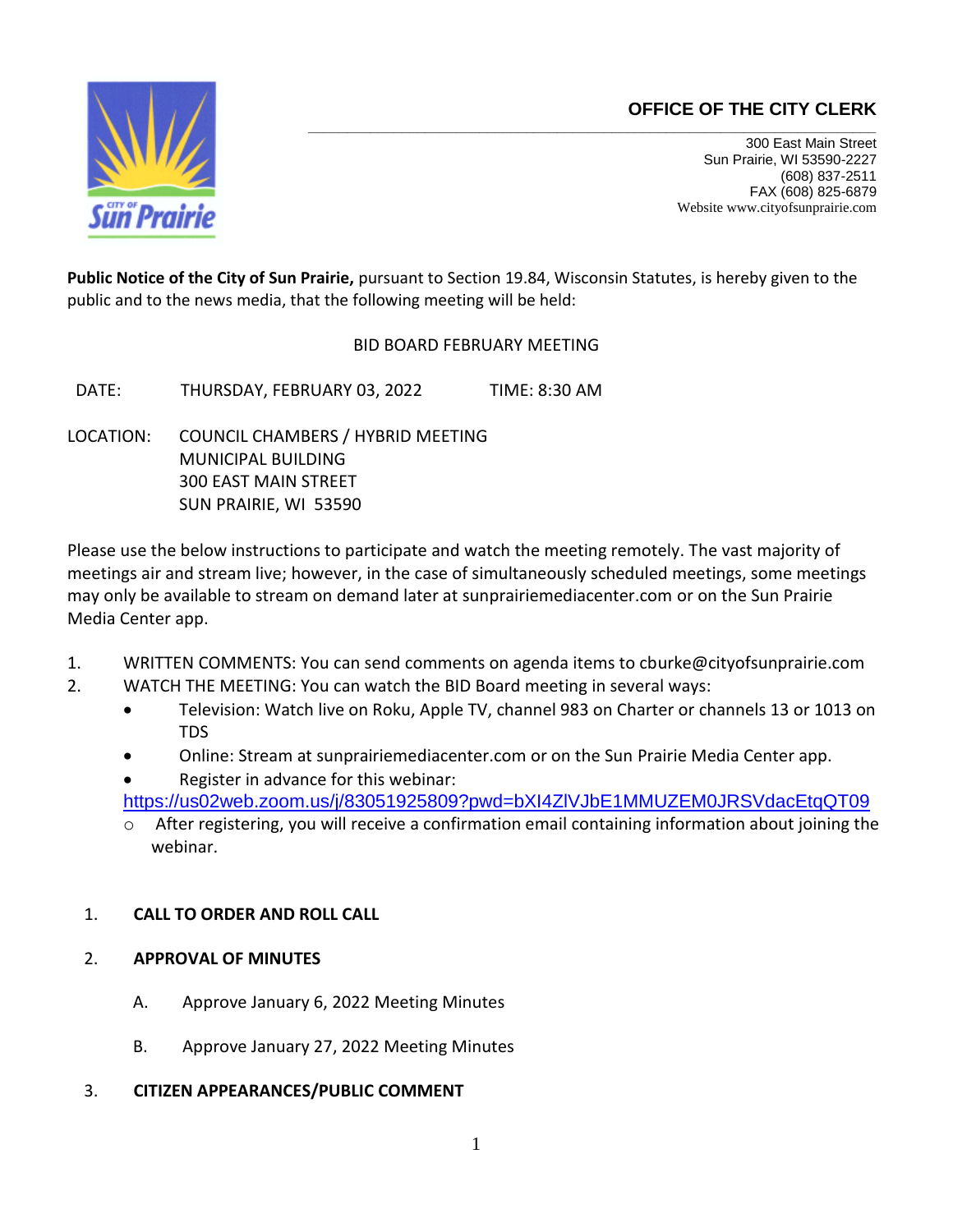# **OFFICE OF THE CITY CLERK**



**\_\_\_\_\_\_\_\_\_\_\_\_\_\_\_\_\_\_\_\_\_\_\_\_\_\_\_\_\_\_\_\_\_\_\_\_\_\_\_\_\_\_\_\_\_\_\_\_\_\_\_\_\_\_\_\_\_\_\_\_\_\_\_\_\_\_\_\_\_\_\_\_\_**  300 East Main Street Sun Prairie, WI 53590-2227 (608) 837-2511 FAX (608) 825-6879 Website www.cityofsunprairie.com

**Public Notice of the City of Sun Prairie,** pursuant to Section 19.84, Wisconsin Statutes, is hereby given to the public and to the news media, that the following meeting will be held:

BID BOARD FEBRUARY MEETING

DATE: THURSDAY, FEBRUARY 03, 2022 TIME: 8:30 AM

LOCATION: COUNCIL CHAMBERS / HYBRID MEETING MUNICIPAL BUILDING 300 EAST MAIN STREET SUN PRAIRIE, WI 53590

Please use the below instructions to participate and watch the meeting remotely. The vast majority of meetings air and stream live; however, in the case of simultaneously scheduled meetings, some meetings may only be available to stream on demand later at sunprairiemediacenter.com or on the Sun Prairie Media Center app.

- 1. WRITTEN COMMENTS: You can send comments on agenda items to cburke@cityofsunprairie.com
- 2. WATCH THE MEETING: You can watch the BID Board meeting in several ways:
	- Television: Watch live on Roku, Apple TV, channel 983 on Charter or channels 13 or 1013 on TDS
	- Online: Stream at sunprairiemediacenter.com or on the Sun Prairie Media Center app.
	- Register in advance for this webinar: [https://us02web.zoom.us/j/83051925809?pwd=bXI4ZlVJbE1MMUZEM0JRSVdacEtqQT09](https://gcc02.safelinks.protection.outlook.com/?url=https%3A%2F%2Fus02web.zoom.us%2Fj%2F83051925809%3Fpwd%3DbXI4ZlVJbE1MMUZEM0JRSVdacEtqQT09&data=04%7C01%7Ccburke%40cityofsunprairie.com%7C1226030dc7e74e7894ba08d9e1a476c2%7Cbb6c3b6e9ea14cd1b811787fb6e43914%7C1%7C0%7C637788918752873325%7CUnknown%7CTWFpbGZsb3d8eyJWIjoiMC4wLjAwMDAiLCJQIjoiV2luMzIiLCJBTiI6Ik1haWwiLCJXVCI6Mn0%3D%7C3000&sdata=k3%2BNt2iAAH6hpa%2Bh9XlxCF9fVFrATqvYdrfBWZfe1vU%3D&reserved=0)
	- $\circ$  After registering, you will receive a confirmation email containing information about joining the webinar.

## 1. **CALL TO ORDER AND ROLL CALL**

## 2. **APPROVAL OF MINUTES**

- A. Approve January 6, 2022 Meeting Minutes
- B. Approve January 27, 2022 Meeting Minutes
- 3. **CITIZEN APPEARANCES/PUBLIC COMMENT**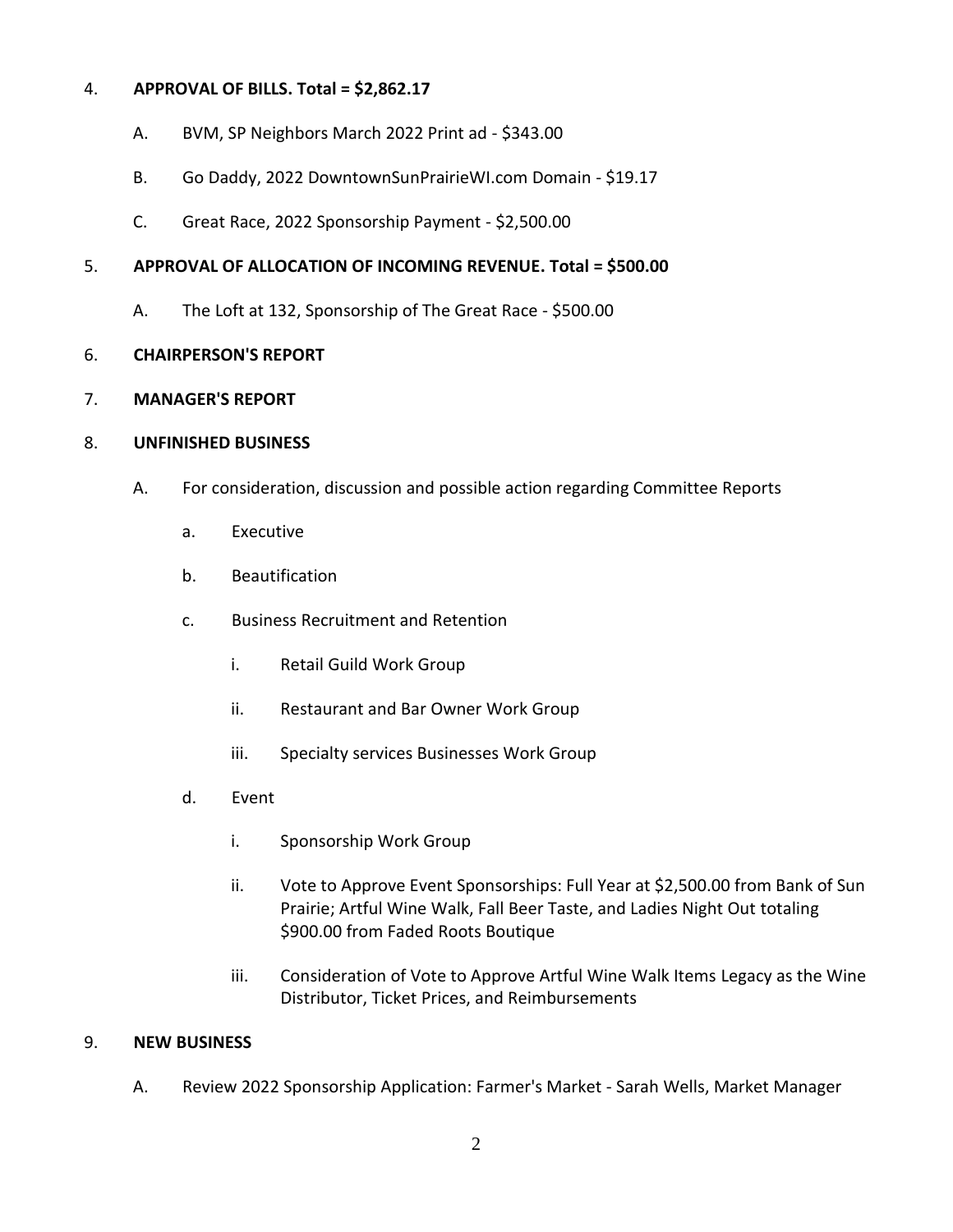#### 4. **APPROVAL OF BILLS. Total = \$2,862.17**

- A. BVM, SP Neighbors March 2022 Print ad \$343.00
- B. Go Daddy, 2022 DowntownSunPrairieWI.com Domain \$19.17
- C. Great Race, 2022 Sponsorship Payment \$2,500.00

## 5. **APPROVAL OF ALLOCATION OF INCOMING REVENUE. Total = \$500.00**

A. The Loft at 132, Sponsorship of The Great Race - \$500.00

## 6. **CHAIRPERSON'S REPORT**

## 7. **MANAGER'S REPORT**

## 8. **UNFINISHED BUSINESS**

- A. For consideration, discussion and possible action regarding Committee Reports
	- a. Executive
	- b. Beautification
	- c. Business Recruitment and Retention
		- i. Retail Guild Work Group
		- ii. Restaurant and Bar Owner Work Group
		- iii. Specialty services Businesses Work Group
	- d. Event
		- i. Sponsorship Work Group
		- ii. Vote to Approve Event Sponsorships: Full Year at \$2,500.00 from Bank of Sun Prairie; Artful Wine Walk, Fall Beer Taste, and Ladies Night Out totaling \$900.00 from Faded Roots Boutique
		- iii. Consideration of Vote to Approve Artful Wine Walk Items Legacy as the Wine Distributor, Ticket Prices, and Reimbursements

#### 9. **NEW BUSINESS**

A. Review 2022 Sponsorship Application: Farmer's Market - Sarah Wells, Market Manager